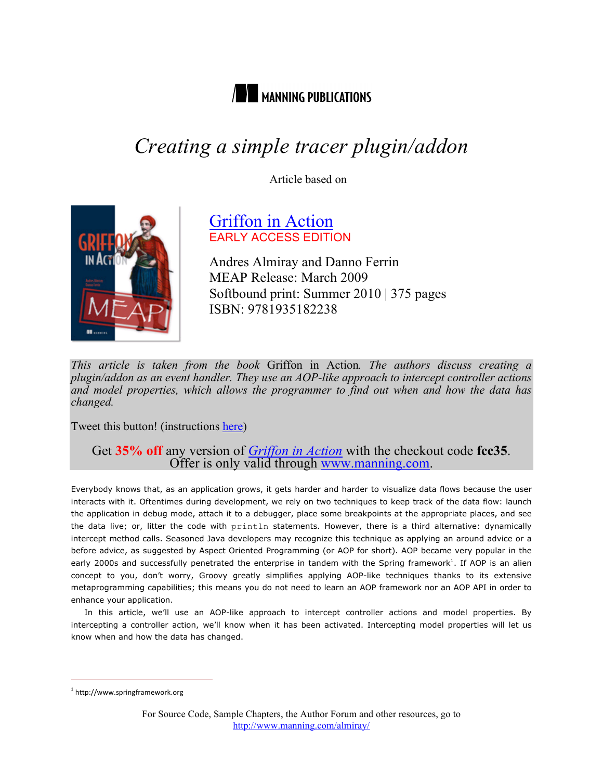

# *Creating a simple tracer plugin/addon*

Article based on



# Griffon in Action EARLY ACCESS EDITION

Andres Almiray and Danno Ferrin MEAP Release: March 2009 Softbound print: Summer 2010 | 375 pages ISBN: 9781935182238

*This article is taken from the book* Griffon in Action*. The authors discuss creating a plugin/addon as an event handler. They use an AOP-like approach to intercept controller actions and model properties, which allows the programmer to find out when and how the data has changed.*

Tweet this button! (instructions here)

# Get 35% off any version of *Griffon in Action* with the checkout code fcc35.<br>Offer is only valid through www.manning.com.

Everybody knows that, as an application grows, it gets harder and harder to visualize data flows because the user interacts with it. Oftentimes during development, we rely on two techniques to keep track of the data flow: launch the application in debug mode, attach it to a debugger, place some breakpoints at the appropriate places, and see the data live; or, litter the code with println statements. However, there is a third alternative: dynamically intercept method calls. Seasoned Java developers may recognize this technique as applying an around advice or a before advice, as suggested by Aspect Oriented Programming (or AOP for short). AOP became very popular in the early 2000s and successfully penetrated the enterprise in tandem with the Spring framework<sup>1</sup>. If AOP is an alien concept to you, don't worry, Groovy greatly simplifies applying AOP-like techniques thanks to its extensive metaprogramming capabilities; this means you do not need to learn an AOP framework nor an AOP API in order to enhance your application.

In this article, we'll use an AOP-like approach to intercept controller actions and model properties. By intercepting a controller action, we'll know when it has been activated. Intercepting model properties will let us know when and how the data has changed.

 $^1$  http://www.springframework.org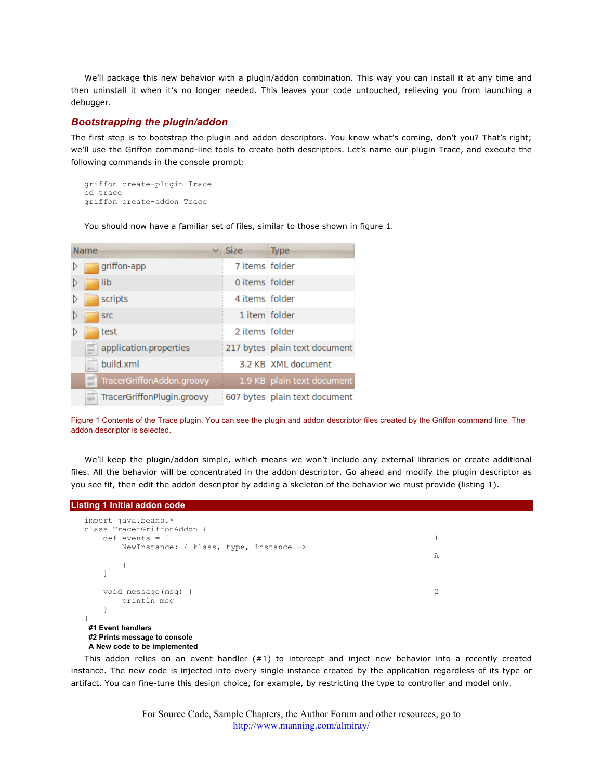We'll package this new behavior with a plugin/addon combination. This way you can install it at any time and then uninstall it when it's no longer needed. This leaves your code untouched, relieving you from launching a debugger.

## *Bootstrapping the plugin/addon*

The first step is to bootstrap the plugin and addon descriptors. You know what's coming, don't you? That's right; we'll use the Griffon command-line tools to create both descriptors. Let's name our plugin Trace, and execute the following commands in the console prompt:

```
griffon create-plugin Trace
cd trace
griffon create-addon Trace
```
You should now have a familiar set of files, similar to those shown in figure 1.

| Name                           | <b>Size</b>    | <b>Type</b>                   |
|--------------------------------|----------------|-------------------------------|
| griffon-app                    | 7 items folder |                               |
| lib                            | 0 items folder |                               |
| scripts                        | 4 items folder |                               |
| <b>SrC</b>                     | 1 item folder  |                               |
| test                           | 2 items folder |                               |
| application.properties         |                | 217 bytes plain text document |
| build.xml                      |                | 3.2 KB XML document           |
| TracerGriffonAddon.groovy<br>≣ |                | 1.9 KB plain text document    |
| TracerGriffonPlugin.groovy     |                | 607 bytes plain text document |

Figure 1 Contents of the Trace plugin. You can see the plugin and addon descriptor files created by the Griffon command line. The addon descriptor is selected.

We'll keep the plugin/addon simple, which means we won't include any external libraries or create additional files. All the behavior will be concentrated in the addon descriptor. Go ahead and modify the plugin descriptor as you see fit, then edit the addon descriptor by adding a skeleton of the behavior we must provide (listing 1).

#### **Listing 1 Initial addon code**

| import java.beans.*<br>class TracerGriffonAddon {     |   |
|-------------------------------------------------------|---|
| $def$ events = $\lceil$                               |   |
| NewInstance: { $klass$ , type, instance $\rightarrow$ | A |
|                                                       |   |
| void message(msg) {<br>println msq                    | 2 |
|                                                       |   |
| #1 Event handlers<br>#2 Prints message to console     |   |

**A New code to be implemented**

This addon relies on an event handler  $(#1)$  to intercept and inject new behavior into a recently created instance. The new code is injected into every single instance created by the application regardless of its type or artifact. You can fine-tune this design choice, for example, by restricting the type to controller and model only.

> For Source Code, Sample Chapters, the Author Forum and other resources, go to http://www.manning.com/almiray/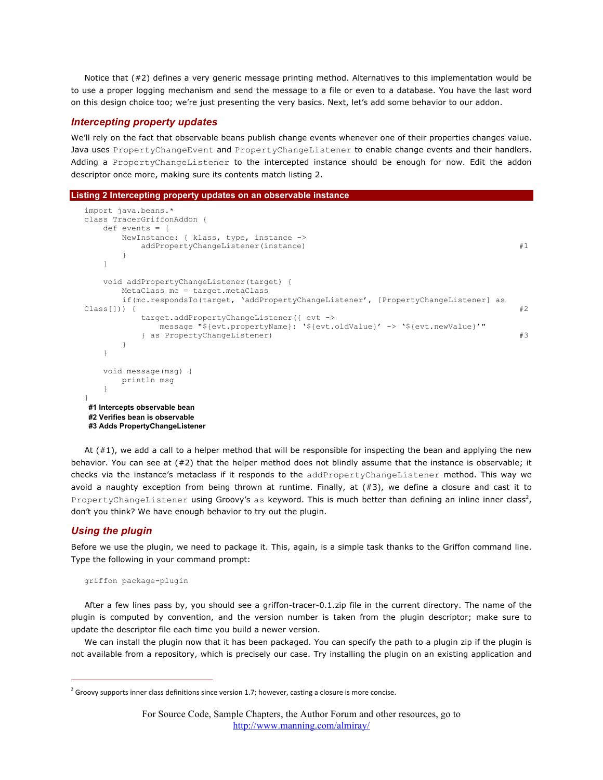Notice that (#2) defines a very generic message printing method. Alternatives to this implementation would be to use a proper logging mechanism and send the message to a file or even to a database. You have the last word on this design choice too; we're just presenting the very basics. Next, let's add some behavior to our addon.

### *Intercepting property updates*

We'll rely on the fact that observable beans publish change events whenever one of their properties changes value. Java uses PropertyChangeEvent and PropertyChangeListener to enable change events and their handlers. Adding a PropertyChangeListener to the intercepted instance should be enough for now. Edit the addon descriptor once more, making sure its contents match listing 2.

```
Listing 2 Intercepting property updates on an observable instance
```

```
import java.beans.* 
class TracerGriffonAddon { 
    def events = [ 
        NewInstance: { klass, type, instance -> 
            addPropertyChangeListener(instance) #1
 } 
    ] 
    void addPropertyChangeListener(target) { 
        MetaClass mc = target.metaClass 
        if(mc.respondsTo(target, 'addPropertyChangeListener', [PropertyChangeListener] as 
\text{Class} \begin{bmatrix} 1 \end{bmatrix}) { \text{*2} target.addPropertyChangeListener({ evt -> 
                message "${evt.propertyName}: '${evt.oldValue}' -> '${evt.newValue}'" 
            } as PropertyChangeListener) #3
        } 
     } 
    void message(msg) { 
        println msg 
\left\{\begin{array}{cc} 1 & 1 \\ 1 & 1 \end{array}\right\}}
#1 Intercepts observable bean
#2 Verifies bean is observable
 #3 Adds PropertyChangeListener
```
At (#1), we add a call to a helper method that will be responsible for inspecting the bean and applying the new behavior. You can see at (#2) that the helper method does not blindly assume that the instance is observable; it checks via the instance's metaclass if it responds to the addPropertyChangeListener method. This way we avoid a naughty exception from being thrown at runtime. Finally, at  $(*3)$ , we define a closure and cast it to PropertyChangeListener using Groovy's as keyword. This is much better than defining an inline inner class<sup>2</sup>, don't you think? We have enough behavior to try out the plugin.

## *Using the plugin*

Before we use the plugin, we need to package it. This, again, is a simple task thanks to the Griffon command line. Type the following in your command prompt:

```
griffon package-plugin
```
After a few lines pass by, you should see a griffon-tracer-0.1.zip file in the current directory. The name of the plugin is computed by convention, and the version number is taken from the plugin descriptor; make sure to update the descriptor file each time you build a newer version.

We can install the plugin now that it has been packaged. You can specify the path to a plugin zip if the plugin is not available from a repository, which is precisely our case. Try installing the plugin on an existing application and

 $^2$  Groovy supports inner class definitions since version 1.7; however, casting a closure is more concise.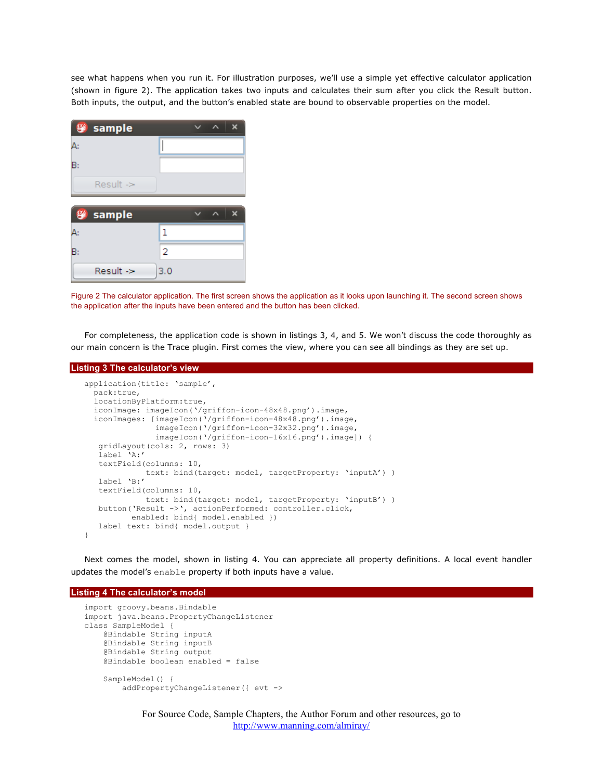see what happens when you run it. For illustration purposes, we'll use a simple yet effective calculator application (shown in figure 2). The application takes two inputs and calculates their sum after you click the Result button. Both inputs, the output, and the button's enabled state are bound to observable properties on the model.

|    | <sup>9</sup> / <sub>sample</sub> |                |  | x |
|----|----------------------------------|----------------|--|---|
| Δ  |                                  |                |  |   |
| B: |                                  |                |  |   |
|    | Result $\Rightarrow$             |                |  |   |
|    |                                  |                |  |   |
|    |                                  |                |  |   |
|    | <b>Set sample</b>                |                |  | х |
| Δ  |                                  | ı              |  |   |
| B: |                                  | $\overline{2}$ |  |   |

Figure 2 The calculator application. The first screen shows the application as it looks upon launching it. The second screen shows the application after the inputs have been entered and the button has been clicked.

For completeness, the application code is shown in listings 3, 4, and 5. We won't discuss the code thoroughly as our main concern is the Trace plugin. First comes the view, where you can see all bindings as they are set up.

#### **Listing 3 The calculator's view**

```
application(title: 'sample', 
  pack:true, 
   locationByPlatform:true, 
   iconImage: imageIcon('/griffon-icon-48x48.png').image, 
   iconImages: [imageIcon('/griffon-icon-48x48.png').image,
                imageIcon('/griffon-icon-32x32.png').image, 
                imageIcon('/griffon-icon-16x16.png').image]) { 
    gridLayout(cols: 2, rows: 3) 
    label 'A:'
    textField(columns: 10, 
              text: bind(target: model, targetProperty: 'inputA') )
    label 'B:'
    textField(columns: 10,
              text: bind(target: model, targetProperty: 'inputB') )
    button('Result ->', actionPerformed: controller.click,
          enabled: bind{ model.enabled })
    label text: bind{ model.output } 
}
```
Next comes the model, shown in listing 4. You can appreciate all property definitions. A local event handler updates the model's enable property if both inputs have a value.

#### **Listing 4 The calculator's model**

```
import groovy.beans.Bindable 
import java.beans.PropertyChangeListener
class SampleModel { 
     @Bindable String inputA 
     @Bindable String inputB 
     @Bindable String output 
     @Bindable boolean enabled = false 
     SampleModel() { 
         addPropertyChangeListener({ evt ->
```
For Source Code, Sample Chapters, the Author Forum and other resources, go to http://www.manning.com/almiray/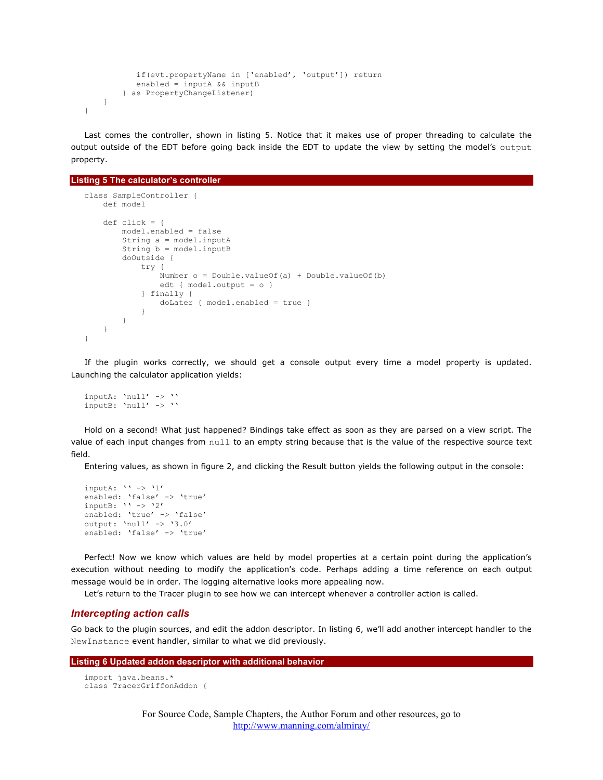```
 if(evt.propertyName in ['enabled', 'output']) return 
            enabled = inputA && inputB 
         } as PropertyChangeListener) 
     } 
}
```
Last comes the controller, shown in listing 5. Notice that it makes use of proper threading to calculate the output outside of the EDT before going back inside the EDT to update the view by setting the model's output property.

```
Listing 5 The calculator's controller
```

```
class SampleController { 
     def model 
    def click = { model.enabled = false 
         String a = model.inputA 
        String b = model.inputB doOutside { 
             try { 
                  Number o = Double.valueOf(a) + Double.valueOf(b) 
                  edt { model.output = o } 
             } finally { 
                  doLater { model.enabled = true } 
 } 
         } 
     } 
}
```
If the plugin works correctly, we should get a console output every time a model property is updated. Launching the calculator application yields:

inputA: 'null' -> '' inputB: 'null' -> ''

Hold on a second! What just happened? Bindings take effect as soon as they are parsed on a view script. The value of each input changes from null to an empty string because that is the value of the respective source text field.

Entering values, as shown in figure 2, and clicking the Result button yields the following output in the console:

```
inputA: ' -> '1'
enabled: 'false' -> 'true'
inputB: ' -> '2'
enabled: 'true' -> 'false'
output: 'null' -> '3.0'
enabled: 'false' -> 'true'
```
Perfect! Now we know which values are held by model properties at a certain point during the application's execution without needing to modify the application's code. Perhaps adding a time reference on each output message would be in order. The logging alternative looks more appealing now.

Let's return to the Tracer plugin to see how we can intercept whenever a controller action is called.

## *Intercepting action calls*

Go back to the plugin sources, and edit the addon descriptor. In listing 6, we'll add another intercept handler to the NewInstance event handler, similar to what we did previously.

```
Listing 6 Updated addon descriptor with additional behavior
```

```
import java.beans.* 
class TracerGriffonAddon {
```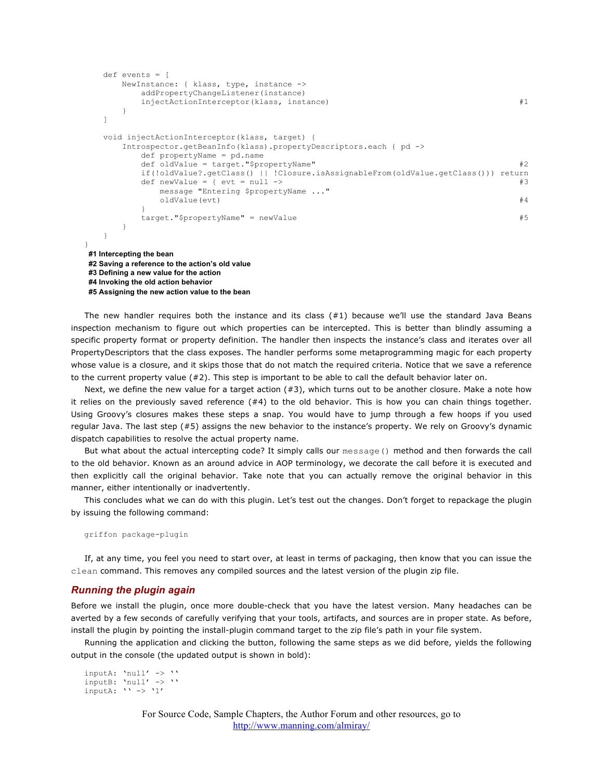```
 def events = [ 
      NewInstance: { klass, type, instance -> 
          addPropertyChangeListener(instance) 
         injectActionInterceptor(klass, instance) #1 } 
   ] 
   void injectActionInterceptor(klass, target) { 
       Introspector.getBeanInfo(klass).propertyDescriptors.each { pd -> 
          def propertyName = pd.name 
         def oldValue = target."$propertyName" #2 if(!oldValue?.getClass() || !Closure.isAssignableFrom(oldValue.getClass())) return
         def newValue = { evt = null -> #3 message "Entering $propertyName ..." 
            oldValue(evt) \#4 } 
         target."$propertyName" = newValue #5
       } 
   } 
}
#1 Intercepting the bean
#2 Saving a reference to the action's old value
#3 Defining a new value for the action
#4 Invoking the old action behavior
```
**#5 Assigning the new action value to the bean**

The new handler requires both the instance and its class  $(#1)$  because we'll use the standard Java Beans inspection mechanism to figure out which properties can be intercepted. This is better than blindly assuming a specific property format or property definition. The handler then inspects the instance's class and iterates over all PropertyDescriptors that the class exposes. The handler performs some metaprogramming magic for each property whose value is a closure, and it skips those that do not match the required criteria. Notice that we save a reference to the current property value (#2). This step is important to be able to call the default behavior later on.

Next, we define the new value for a target action (#3), which turns out to be another closure. Make a note how it relies on the previously saved reference  $(#4)$  to the old behavior. This is how you can chain things together. Using Groovy's closures makes these steps a snap. You would have to jump through a few hoops if you used regular Java. The last step (#5) assigns the new behavior to the instance's property. We rely on Groovy's dynamic dispatch capabilities to resolve the actual property name.

But what about the actual intercepting code? It simply calls our message() method and then forwards the call to the old behavior. Known as an around advice in AOP terminology, we decorate the call before it is executed and then explicitly call the original behavior. Take note that you can actually remove the original behavior in this manner, either intentionally or inadvertently.

This concludes what we can do with this plugin. Let's test out the changes. Don't forget to repackage the plugin by issuing the following command:

```
griffon package-plugin
```
If, at any time, you feel you need to start over, at least in terms of packaging, then know that you can issue the clean command. This removes any compiled sources and the latest version of the plugin zip file.

## *Running the plugin again*

Before we install the plugin, once more double-check that you have the latest version. Many headaches can be averted by a few seconds of carefully verifying that your tools, artifacts, and sources are in proper state. As before, install the plugin by pointing the install-plugin command target to the zip file's path in your file system.

Running the application and clicking the button, following the same steps as we did before, yields the following output in the console (the updated output is shown in bold):

```
inputA: 'null' -> ''
inputB: 'null' -> ''
inputA: ' -> '1'
```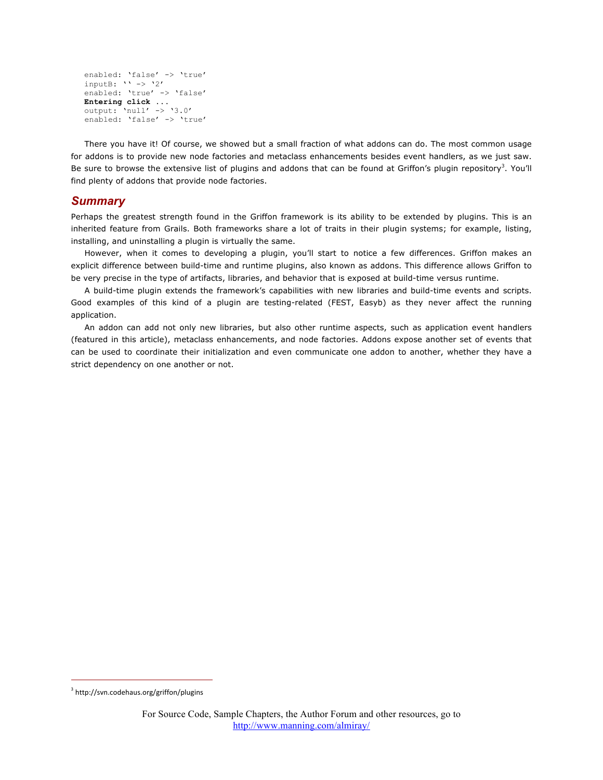```
enabled: 'false' -> 'true'
inputB: '' -> '2'
enabled: 'true' -> 'false'
Entering click ...
output: 'null' -> '3.0'
enabled: 'false' -> 'true'
```
There you have it! Of course, we showed but a small fraction of what addons can do. The most common usage for addons is to provide new node factories and metaclass enhancements besides event handlers, as we just saw. Be sure to browse the extensive list of plugins and addons that can be found at Griffon's plugin repository<sup>3</sup>. You'll find plenty of addons that provide node factories.

## *Summary*

Perhaps the greatest strength found in the Griffon framework is its ability to be extended by plugins. This is an inherited feature from Grails. Both frameworks share a lot of traits in their plugin systems; for example, listing, installing, and uninstalling a plugin is virtually the same.

However, when it comes to developing a plugin, you'll start to notice a few differences. Griffon makes an explicit difference between build-time and runtime plugins, also known as addons. This difference allows Griffon to be very precise in the type of artifacts, libraries, and behavior that is exposed at build-time versus runtime.

A build-time plugin extends the framework's capabilities with new libraries and build-time events and scripts. Good examples of this kind of a plugin are testing-related (FEST, Easyb) as they never affect the running application.

An addon can add not only new libraries, but also other runtime aspects, such as application event handlers (featured in this article), metaclass enhancements, and node factories. Addons expose another set of events that can be used to coordinate their initialization and even communicate one addon to another, whether they have a strict dependency on one another or not.

 $^3$  http://svn.codehaus.org/griffon/plugins